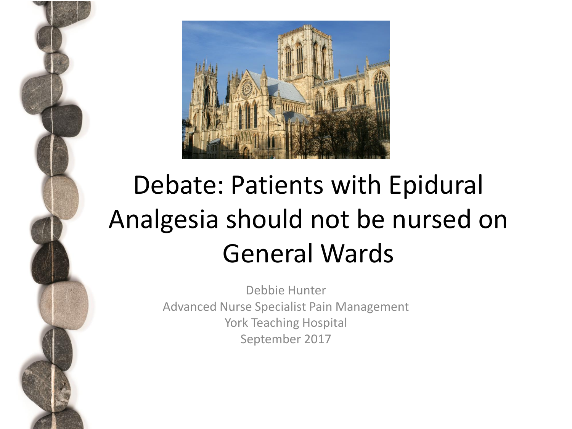

# Debate: Patients with Epidural Analgesia should not be nursed on General Wards

Debbie Hunter Advanced Nurse Specialist Pain Management York Teaching Hospital September 2017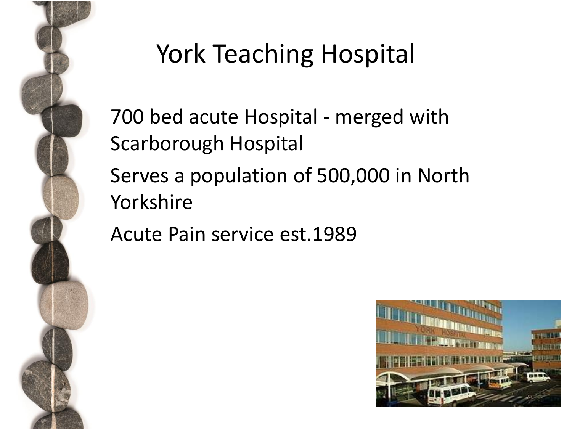

# York Teaching Hospital

• 700 bed acute Hospital - merged with Scarborough Hospital Serves a population of 500,000 in North Yorkshire

• Acute Pain service est.1989

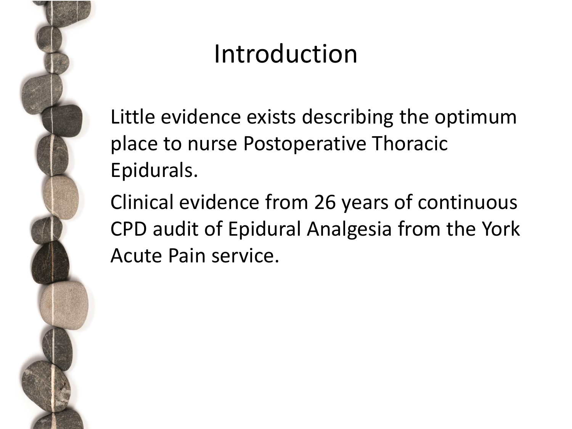

### Introduction

Little evidence exists describing the optimum place to nurse Postoperative Thoracic Epidurals.

• Clinical evidence from 26 years of continuous CPD audit of Epidural Analgesia from the York Acute Pain service.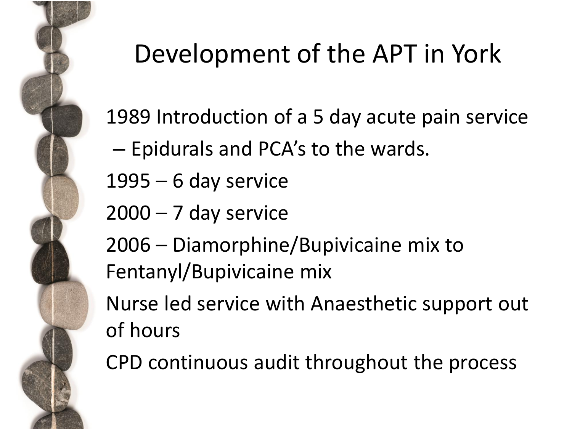

# Development of the APT in York

1989 Introduction of a 5 day acute pain service

- Epidurals and PCA's to the wards.
- $1995 6$  day service
- $2000 7$  day service
- 2006 Diamorphine/Bupivicaine mix to Fentanyl/Bupivicaine mix
- Nurse led service with Anaesthetic support out of hours

• CPD continuous audit throughout the process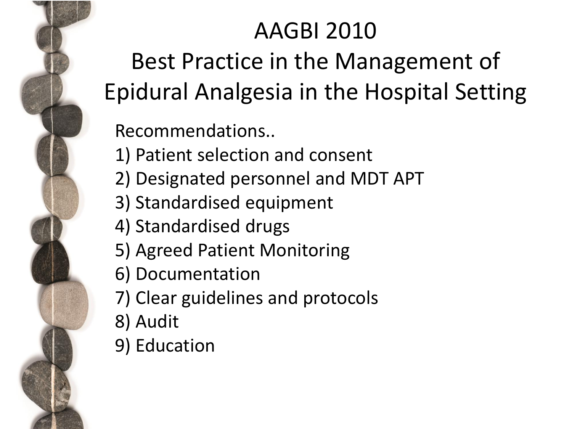### AAGBI 2010

Best Practice in the Management of Epidural Analgesia in the Hospital Setting

• Recommendations..

- 1) Patient selection and consent
- 2) Designated personnel and MDT APT
- 3) Standardised equipment
- 4) Standardised drugs
- 5) Agreed Patient Monitoring
- 6) Documentation
- 7) Clear guidelines and protocols
- 8) Audit
- 9) Education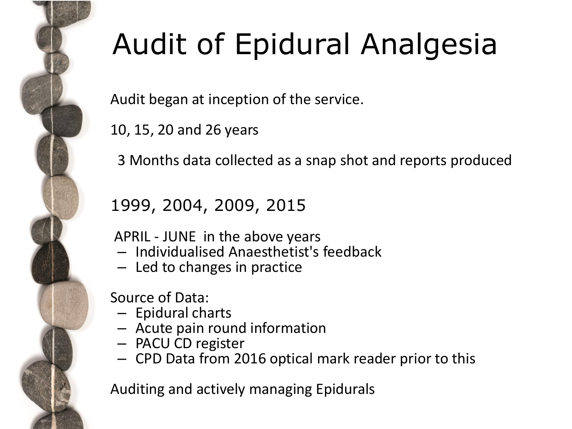

# Audit of Epidural Analgesia

Audit began at inception of the service.

• 10, 15, 20 and 26 years

• 3 Months data collected as a snap shot and reports produced

#### • 1999, 2004, 2009, 2015

• APRIL - JUNE in the above years

- Individualised Anaesthetist's feedback
- Led to changes in practice

• Source of Data:

- Epidural charts
- Acute pain round information
- PACU CD register
- CPD Data from 2016 optical mark reader prior to this

• Auditing and actively managing Epidurals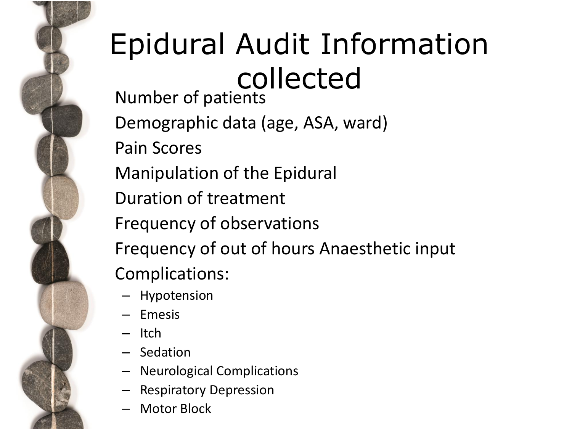# Epidural Audit Information collected

• Number of patients • Demographic data (age, ASA, ward) • Pain Scores • Manipulation of the Epidural • Duration of treatment • Frequency of observations • Frequency of out of hours Anaesthetic input Complications:

- Hypotension
- Emesis
- Itch
- Sedation
- Neurological Complications
- Respiratory Depression
- Motor Block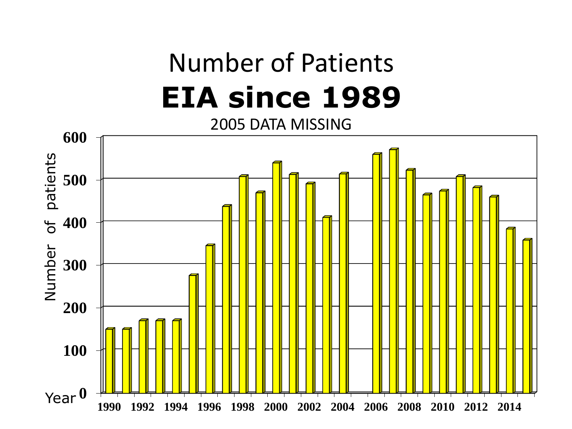# Number of Patients **EIA since 1989**

2005 DATA MISSING

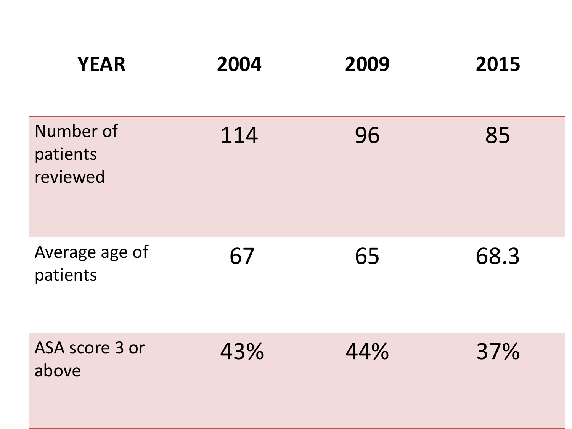| <b>YEAR</b>                       | 2004 | 2009 | 2015 |
|-----------------------------------|------|------|------|
| Number of<br>patients<br>reviewed | 114  | 96   | 85   |
| Average age of<br>patients        | 67   | 65   | 68.3 |
| ASA score 3 or<br>above           | 43%  | 44%  | 37%  |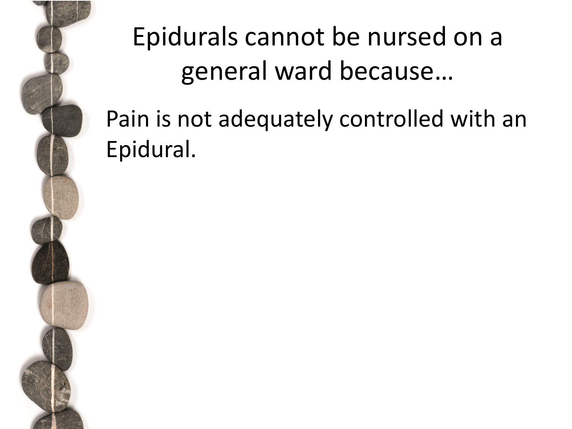

# Epidurals cannot be nursed on a general ward because…

### Pain is not adequately controlled with an Epidural.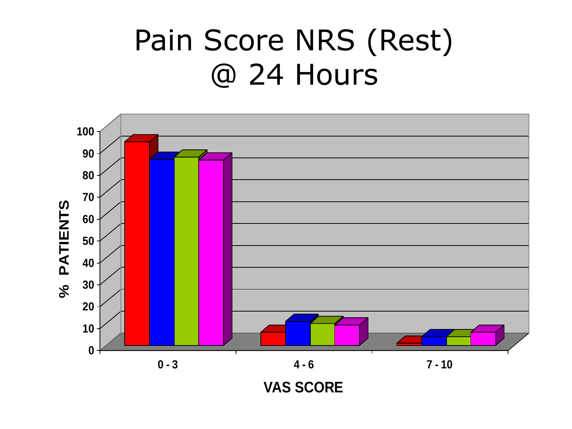# Pain Score NRS (Rest) @ 24 Hours

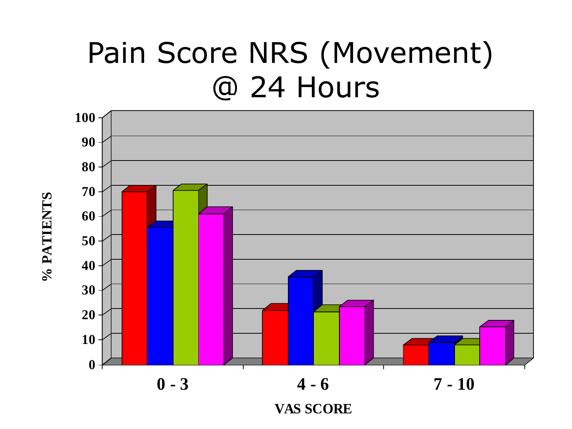# Pain Score NRS (Movement) @ 24 Hours



 **% PATIENTS**

% PATIENTS

**VAS SCORE**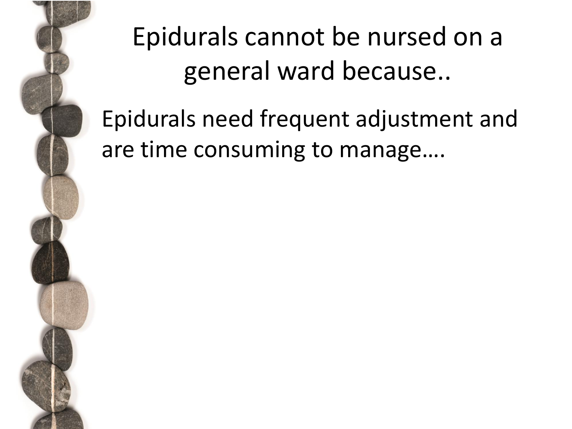# Epidurals cannot be nursed on a general ward because..

• Epidurals need frequent adjustment and are time consuming to manage….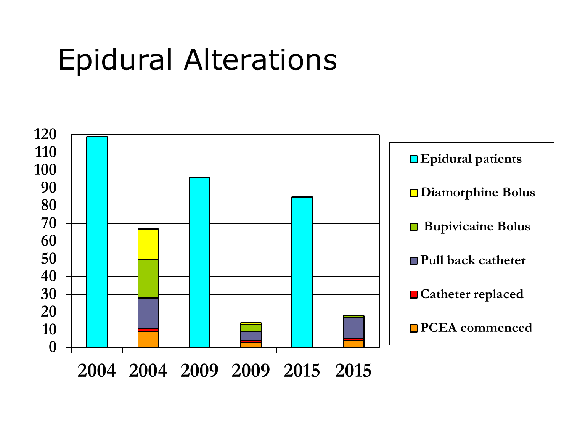# Epidural Alterations

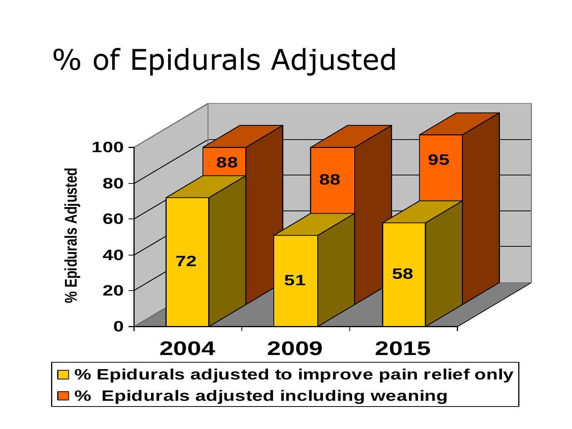## % of Epidurals Adjusted

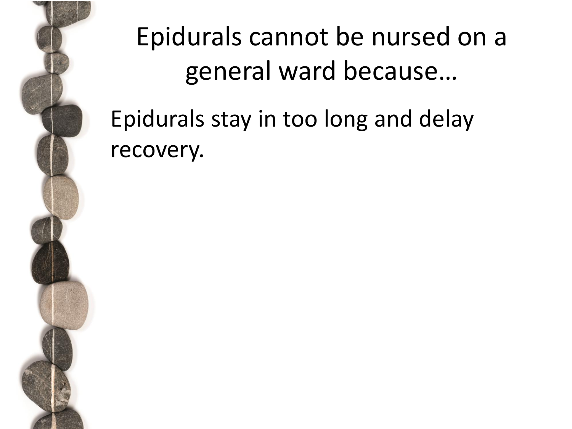

# Epidurals cannot be nursed on a general ward because…

• Epidurals stay in too long and delay recovery.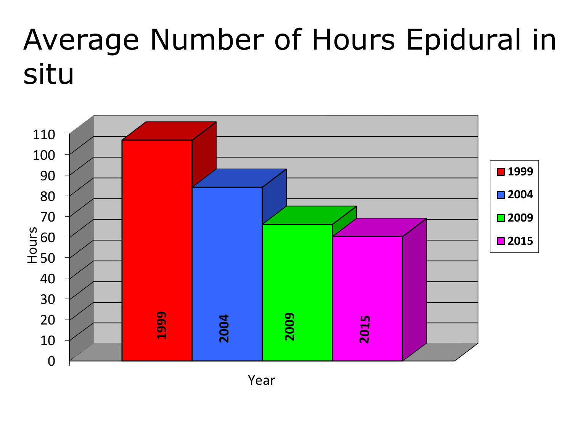# Average Number of Hours Epidural in situ



Year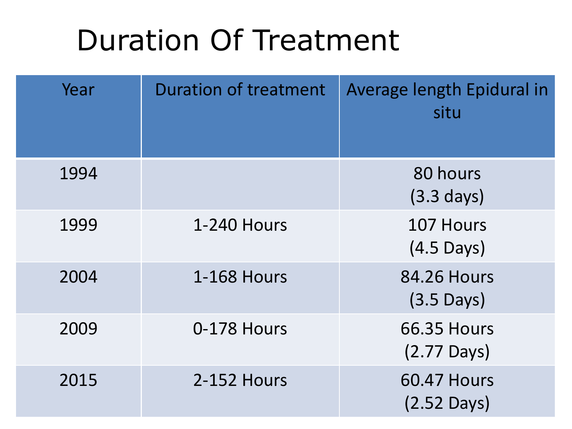# Duration Of Treatment

| Year | <b>Duration of treatment</b> | Average length Epidural in<br>situ          |
|------|------------------------------|---------------------------------------------|
| 1994 |                              | 80 hours<br>$(3.3 \text{ days})$            |
| 1999 | <b>1-240 Hours</b>           | 107 Hours<br>$(4.5 \text{ Days})$           |
| 2004 | <b>1-168 Hours</b>           | <b>84.26 Hours</b><br>$(3.5 \text{ Days})$  |
| 2009 | 0-178 Hours                  | <b>66.35 Hours</b><br>$(2.77 \text{ Days})$ |
| 2015 | 2-152 Hours                  | <b>60.47 Hours</b><br>$(2.52$ Days)         |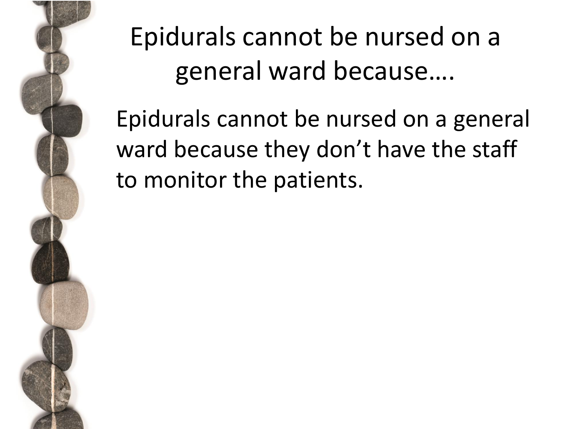

# Epidurals cannot be nursed on a general ward because….

Epidurals cannot be nursed on a general ward because they don't have the staff to monitor the patients.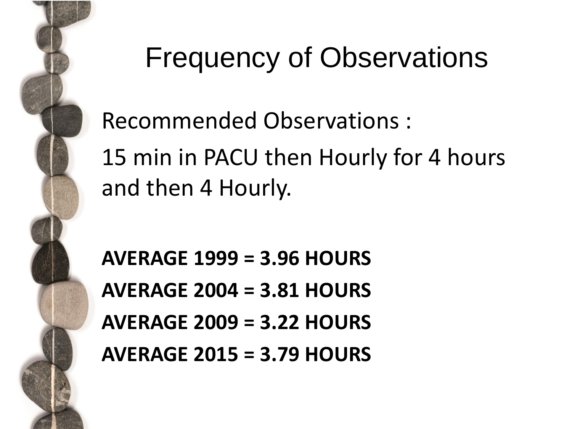

# Frequency of Observations

• Recommended Observations :

15 min in PACU then Hourly for 4 hours and then 4 Hourly.

• **AVERAGE 1999 = 3.96 HOURS** • **AVERAGE 2004 = 3.81 HOURS** • **AVERAGE 2009 = 3.22 HOURS** • **AVERAGE 2015 = 3.79 HOURS**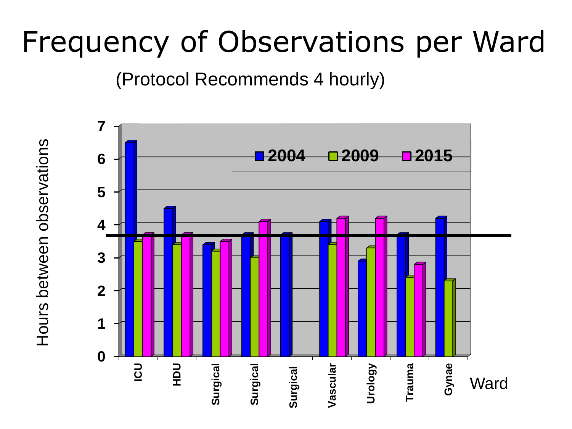# Frequency of Observations per Ward

(Protocol Recommends 4 hourly)



Hours between observations Hours between observations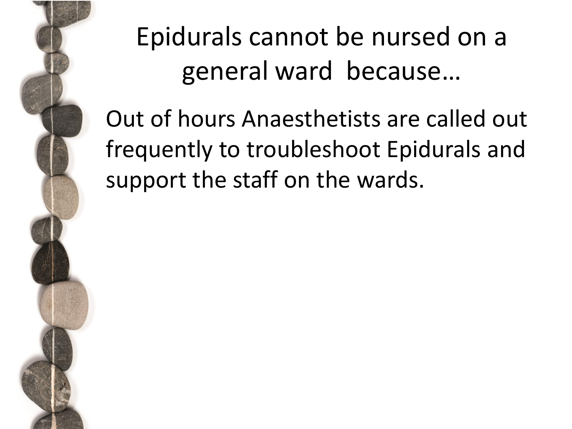

# Epidurals cannot be nursed on a general ward because…

Out of hours Anaesthetists are called out frequently to troubleshoot Epidurals and support the staff on the wards.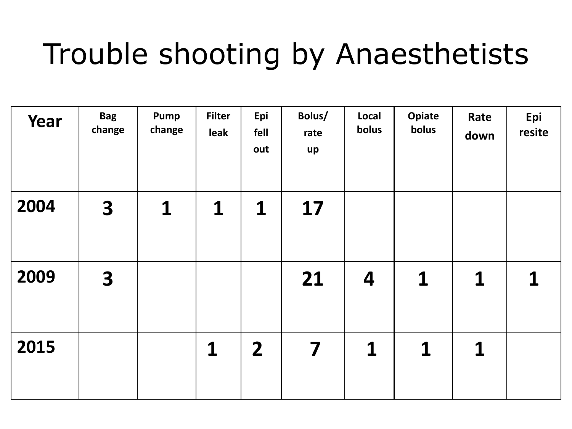# Trouble shooting by Anaesthetists

| Year | <b>Bag</b><br>change    | Pump<br>change | <b>Filter</b><br>leak | Epi<br>fell<br>out | Bolus/<br>rate<br>up | Local<br>bolus | <b>Opiate</b><br>bolus | Rate<br>down | Epi<br>resite |
|------|-------------------------|----------------|-----------------------|--------------------|----------------------|----------------|------------------------|--------------|---------------|
| 2004 | $\overline{\mathbf{3}}$ | 1              | 1                     | $\mathbf 1$        | 17                   |                |                        |              |               |
| 2009 | $\overline{\mathbf{3}}$ |                |                       |                    | 21                   | 4              | $\mathbf 1$            | 1            | 1             |
| 2015 |                         |                | 1                     | $\overline{2}$     | 7                    | $\mathbf 1$    | 1                      | 1            |               |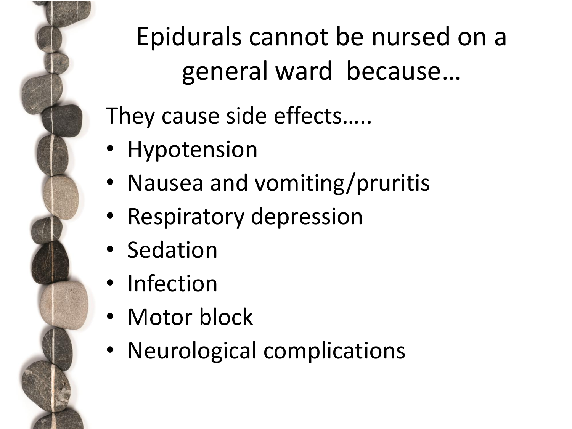

Epidurals cannot be nursed on a general ward because…

They cause side effects…..

- Hypotension
- Nausea and vomiting/pruritis
- Respiratory depression
- Sedation
- Infection
- Motor block
- Neurological complications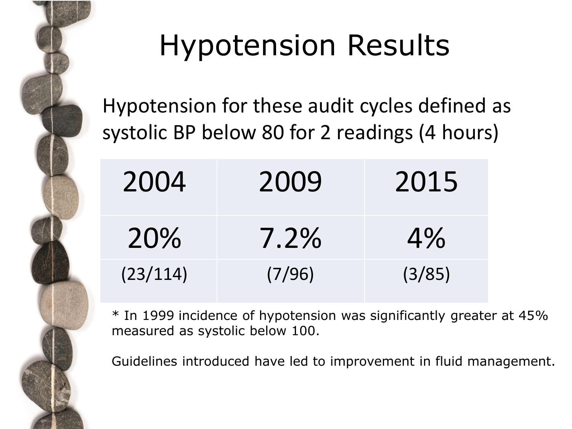

# Hypotension Results

Hypotension for these audit cycles defined as systolic BP below 80 for 2 readings (4 hours)

| 2004     | 2009   | 2015   |
|----------|--------|--------|
| 20%      | 7.2%   | $4\%$  |
| (23/114) | (7/96) | (3/85) |

\* In 1999 incidence of hypotension was significantly greater at 45% measured as systolic below 100.

Guidelines introduced have led to improvement in fluid management.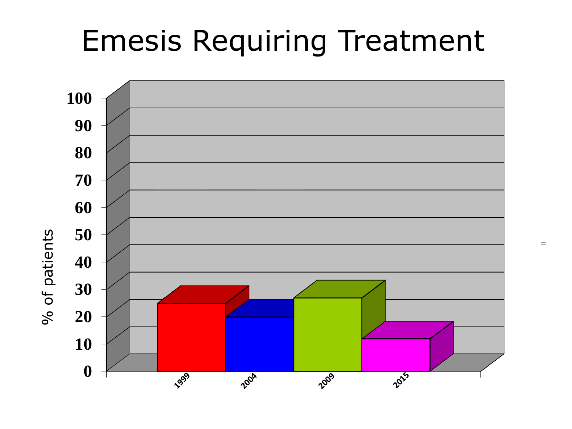## Emesis Requiring Treatment



 $\qquad \qquad \Box$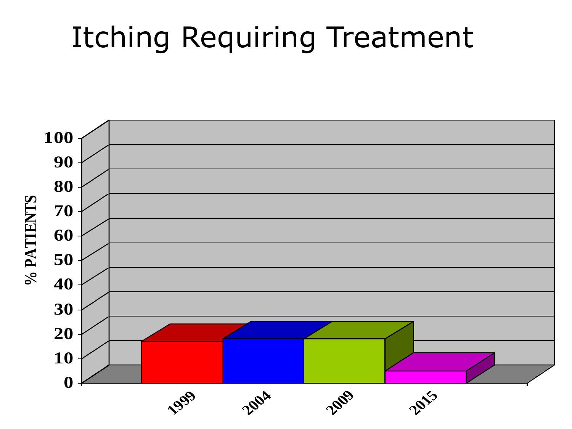## Itching Requiring Treatment

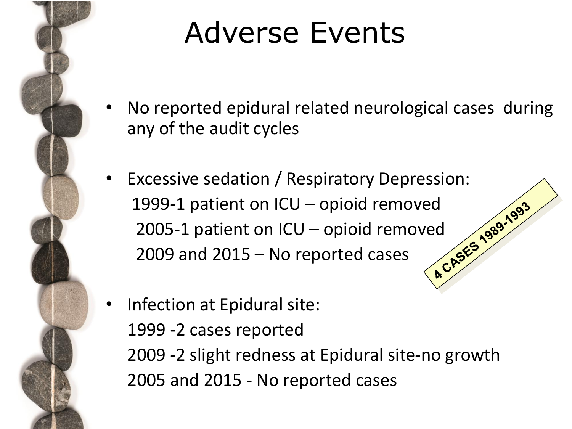

# Adverse Events

- No reported epidural related neurological cases during any of the audit cycles
- Excessive sedation / Respiratory Depression: 1999-1 patient on ICU – opioid removed<br>2005-1 patient on ICU – opioid removed<br>2009 and 2015 – No reported cases 2005-1 patient on ICU – opioid removed 2009 and 2015 – No reported cases
	- Infection at Epidural site: 1999 -2 cases reported 2009 -2 slight redness at Epidural site-no growth 2005 and 2015 - No reported cases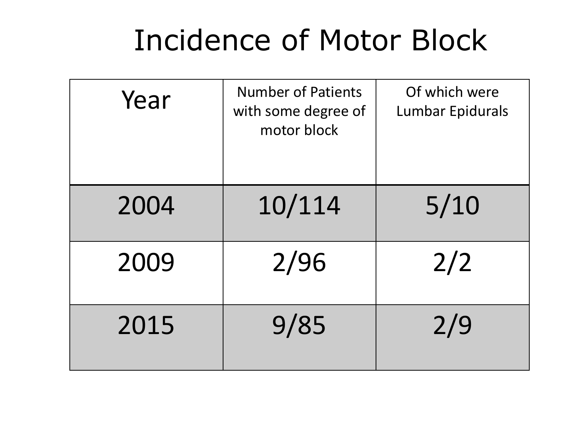# Incidence of Motor Block

| Year | <b>Number of Patients</b><br>with some degree of<br>motor block | Of which were<br>Lumbar Epidurals |
|------|-----------------------------------------------------------------|-----------------------------------|
| 2004 | 10/114                                                          | $5/10$                            |
| 2009 | 2/96                                                            | 2/2                               |
| 2015 | 9/85                                                            | 2/9                               |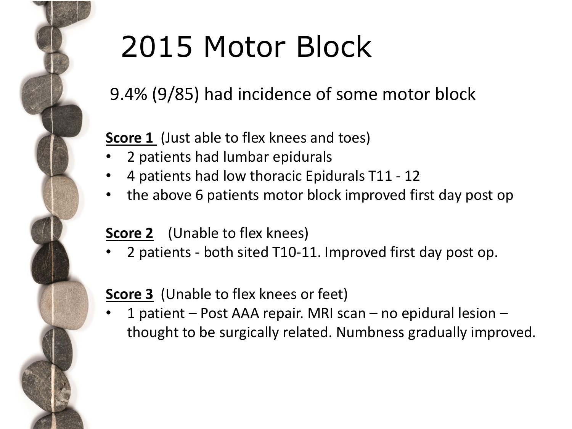

# 2015 Motor Block

#### 9.4% (9/85) had incidence of some motor block

#### **Score 1** (Just able to flex knees and toes)

- 2 patients had lumbar epidurals
- 4 patients had low thoracic Epidurals T11 12
- the above 6 patients motor block improved first day post op

#### **Score 2** (Unable to flex knees)

• 2 patients - both sited T10-11. Improved first day post op.

#### **Score 3** (Unable to flex knees or feet)

• 1 patient – Post AAA repair. MRI scan – no epidural lesion – thought to be surgically related. Numbness gradually improved.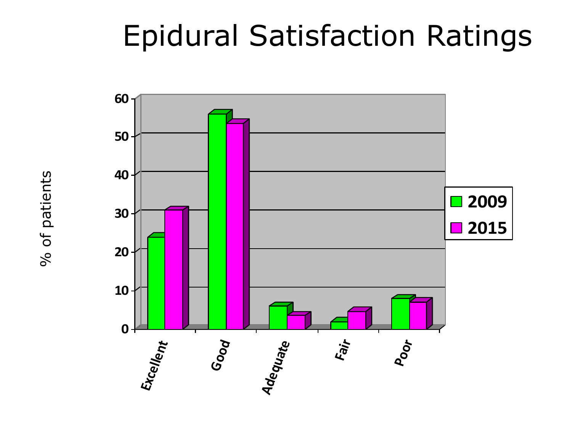# Epidural Satisfaction Ratings



% of patients % of patients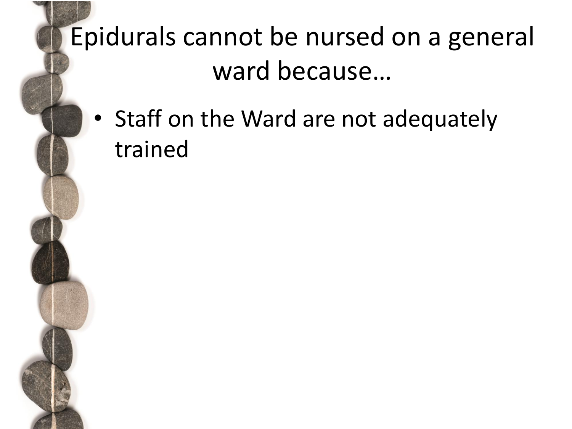## Epidurals cannot be nursed on a general ward because…

• Staff on the Ward are not adequately trained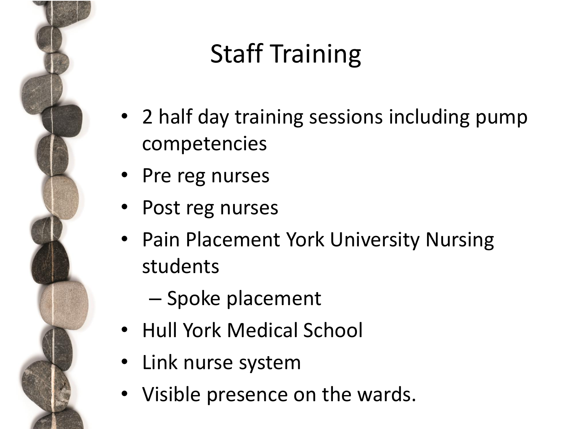

# Staff Training

- 2 half day training sessions including pump competencies
- Pre reg nurses
- Post reg nurses
- Pain Placement York University Nursing students
	- Spoke placement
- Hull York Medical School
- Link nurse system
- Visible presence on the wards.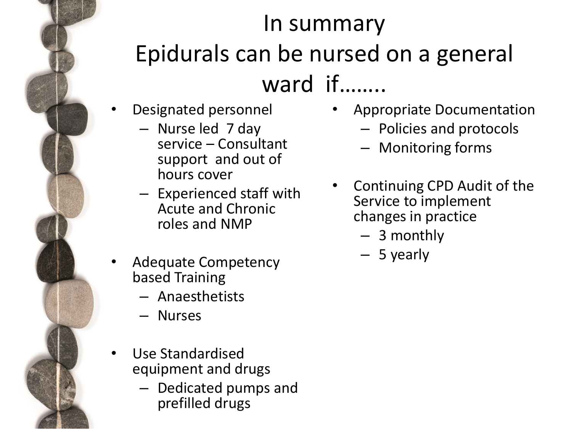### In summary Epidurals can be nursed on a general ward if……..

- Designated personnel
	- Nurse led 7 day service – Consultant support and out of hours cover
	- Experienced staff with Acute and Chronic roles and NMP
- Adequate Competency based Training
	- Anaesthetists
	- Nurses
- Use Standardised equipment and drugs
	- Dedicated pumps and prefilled drugs
- Appropriate Documentation
	- Policies and protocols
	- Monitoring forms
- Continuing CPD Audit of the Service to implement changes in practice
	- 3 monthly
	- 5 yearly